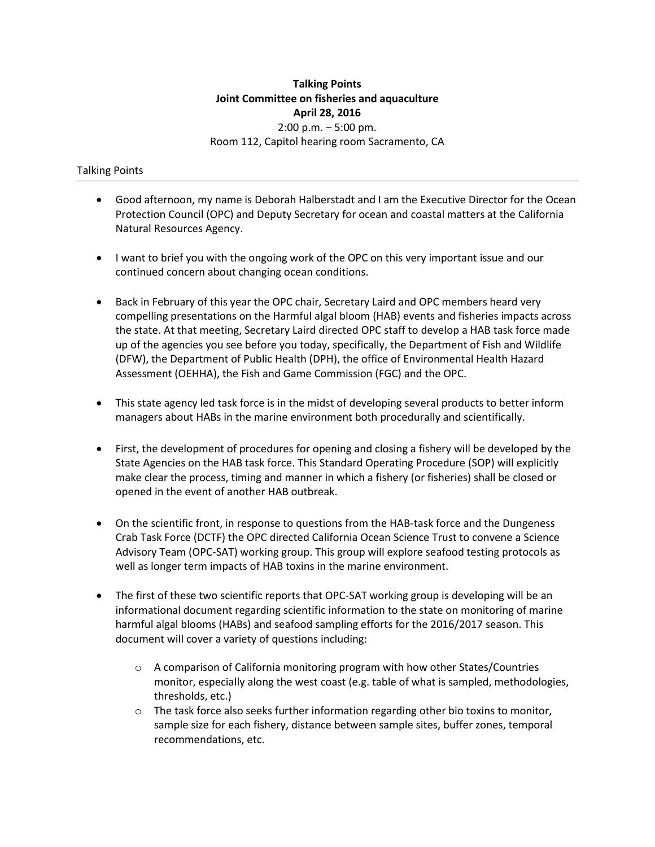## **Talking Points Joint Committee on fisheries and aquaculture April 28, 2016**  2:00 p.m. – 5:00 pm. Room 112, Capitol hearing room Sacramento, CA

## Talking Points

- Good afternoon, my name is Deborah Halberstadt and I am the Executive Director for the Ocean Protection Council (OPC) and Deputy Secretary for ocean and coastal matters at the California Natural Resources Agency.
- I want to brief you with the ongoing work of the OPC on this very important issue and our continued concern about changing ocean conditions.
- Back in February of this year the OPC chair, Secretary Laird and OPC members heard very compelling presentations on the Harmful algal bloom (HAB) events and fisheries impacts across the state. At that meeting, Secretary Laird directed OPC staff to develop a HAB task force made up of the agencies you see before you today, specifically, the Department of Fish and Wildlife (DFW), the Department of Public Health (DPH), the office of Environmental Health Hazard Assessment (OEHHA), the Fish and Game Commission (FGC) and the OPC.
- This state agency led task force is in the midst of developing several products to better inform managers about HABs in the marine environment both procedurally and scientifically.
- First, the development of procedures for opening and closing a fishery will be developed by the State Agencies on the HAB task force. This Standard Operating Procedure (SOP) will explicitly make clear the process, timing and manner in which a fishery (or fisheries) shall be closed or opened in the event of another HAB outbreak.
- On the scientific front, in response to questions from the HAB-task force and the Dungeness Crab Task Force (DCTF) the OPC directed California Ocean Science Trust to convene a Science Advisory Team (OPC-SAT) working group. This group will explore seafood testing protocols as well as longer term impacts of HAB toxins in the marine environment.
- The first of these two scientific reports that OPC-SAT working group is developing will be an informational document regarding scientific information to the state on monitoring of marine harmful algal blooms (HABs) and seafood sampling efforts for the 2016/2017 season. This document will cover a variety of questions including:
	- o A comparison of California monitoring program with how other States/Countries monitor, especially along the west coast (e.g. table of what is sampled, methodologies, thresholds, etc.)
	- $\circ$  The task force also seeks further information regarding other bio toxins to monitor, sample size for each fishery, distance between sample sites, buffer zones, temporal recommendations, etc.